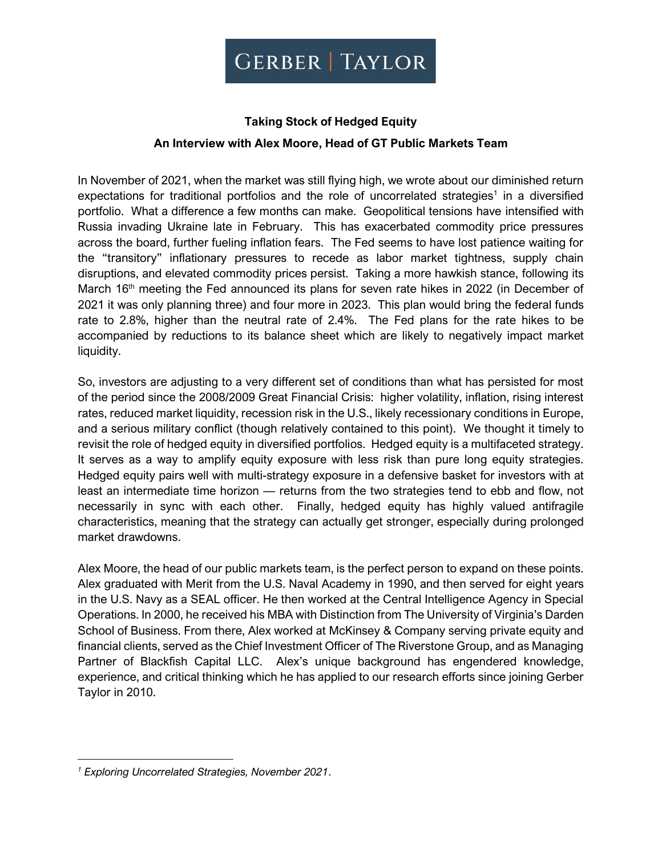# **Taking Stock of Hedged Equity**

# **An Interview with Alex Moore, Head of GT Public Markets Team**

In November of 2021, when the market was still flying high, we wrote about our diminished return expectations for traditional portfolios and the role of uncorrelated strategies<sup>1</sup> in a diversified portfolio. What a difference a few months can make. Geopolitical tensions have intensified with Russia invading Ukraine late in February. This has exacerbated commodity price pressures across the board, further fueling inflation fears. The Fed seems to have lost patience waiting for the "transitory" inflationary pressures to recede as labor market tightness, supply chain disruptions, and elevated commodity prices persist. Taking a more hawkish stance, following its March 16<sup>th</sup> meeting the Fed announced its plans for seven rate hikes in 2022 (in December of 2021 it was only planning three) and four more in 2023. This plan would bring the federal funds rate to 2.8%, higher than the neutral rate of 2.4%. The Fed plans for the rate hikes to be accompanied by reductions to its balance sheet which are likely to negatively impact market liquidity.

So, investors are adjusting to a very different set of conditions than what has persisted for most of the period since the 2008/2009 Great Financial Crisis: higher volatility, inflation, rising interest rates, reduced market liquidity, recession risk in the U.S., likely recessionary conditions in Europe, and a serious military conflict (though relatively contained to this point). We thought it timely to revisit the role of hedged equity in diversified portfolios. Hedged equity is a multifaceted strategy. It serves as a way to amplify equity exposure with less risk than pure long equity strategies. Hedged equity pairs well with multi-strategy exposure in a defensive basket for investors with at least an intermediate time horizon — returns from the two strategies tend to ebb and flow, not necessarily in sync with each other. Finally, hedged equity has highly valued antifragile characteristics, meaning that the strategy can actually get stronger, especially during prolonged market drawdowns.

Alex Moore, the head of our public markets team, is the perfect person to expand on these points. Alex graduated with Merit from the U.S. Naval Academy in 1990, and then served for eight years in the U.S. Navy as a SEAL officer. He then worked at the Central Intelligence Agency in Special Operations. In 2000, he received his MBA with Distinction from The University of Virginia's Darden School of Business. From there, Alex worked at McKinsey & Company serving private equity and financial clients, served as the Chief Investment Officer of The Riverstone Group, and as Managing Partner of Blackfish Capital LLC. Alex's unique background has engendered knowledge, experience, and critical thinking which he has applied to our research efforts since joining Gerber Taylor in 2010.

*<sup>1</sup> Exploring Uncorrelated Strategies, November 2021*.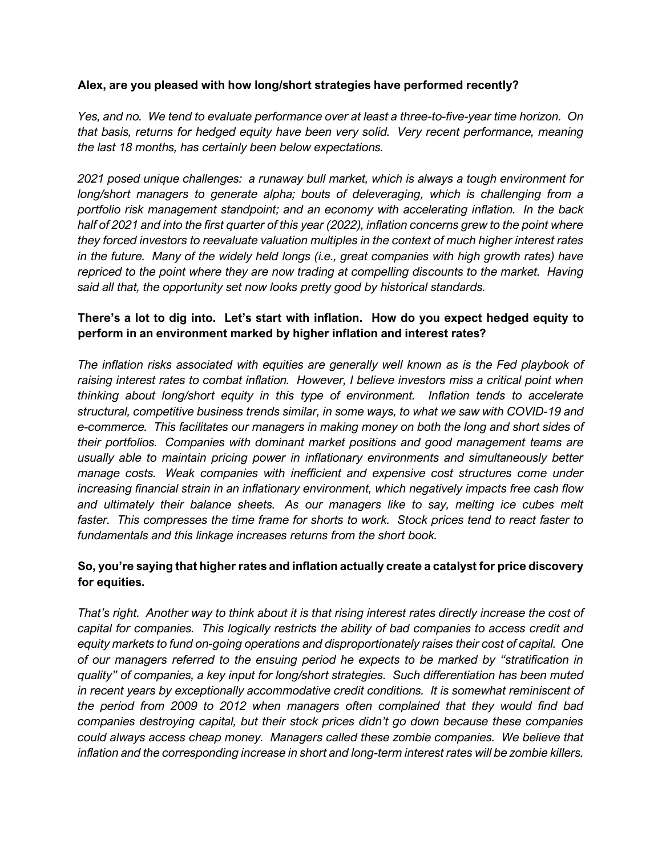#### **Alex, are you pleased with how long/short strategies have performed recently?**

*Yes, and no. We tend to evaluate performance over at least a three-to-five-year time horizon. On that basis, returns for hedged equity have been very solid. Very recent performance, meaning the last 18 months, has certainly been below expectations.*

*2021 posed unique challenges: a runaway bull market, which is always a tough environment for long/short managers to generate alpha; bouts of deleveraging, which is challenging from a portfolio risk management standpoint; and an economy with accelerating inflation. In the back half of 2021 and into the first quarter of this year (2022), inflation concerns grew to the point where they forced investors to reevaluate valuation multiples in the context of much higher interest rates in the future. Many of the widely held longs (i.e., great companies with high growth rates) have repriced to the point where they are now trading at compelling discounts to the market. Having said all that, the opportunity set now looks pretty good by historical standards.*

## **There's a lot to dig into. Let's start with inflation. How do you expect hedged equity to perform in an environment marked by higher inflation and interest rates?**

*The inflation risks associated with equities are generally well known as is the Fed playbook of raising interest rates to combat inflation. However, I believe investors miss a critical point when thinking about long/short equity in this type of environment. Inflation tends to accelerate structural, competitive business trends similar, in some ways, to what we saw with COVID-19 and e-commerce. This facilitates our managers in making money on both the long and short sides of their portfolios. Companies with dominant market positions and good management teams are usually able to maintain pricing power in inflationary environments and simultaneously better manage costs. Weak companies with inefficient and expensive cost structures come under increasing financial strain in an inflationary environment, which negatively impacts free cash flow and ultimately their balance sheets. As our managers like to say, melting ice cubes melt faster. This compresses the time frame for shorts to work. Stock prices tend to react faster to fundamentals and this linkage increases returns from the short book.* 

# **So, you're saying that higher rates and inflation actually create a catalyst for price discovery for equities.**

*That's right. Another way to think about it is that rising interest rates directly increase the cost of capital for companies. This logically restricts the ability of bad companies to access credit and equity markets to fund on-going operations and disproportionately raises their cost of capital. One of our managers referred to the ensuing period he expects to be marked by "stratification in quality" of companies, a key input for long/short strategies. Such differentiation has been muted*  in recent years by exceptionally accommodative credit conditions. It is somewhat reminiscent of *the period from 2009 to 2012 when managers often complained that they would find bad companies destroying capital, but their stock prices didn't go down because these companies could always access cheap money. Managers called these zombie companies. We believe that inflation and the corresponding increase in short and long-term interest rates will be zombie killers.*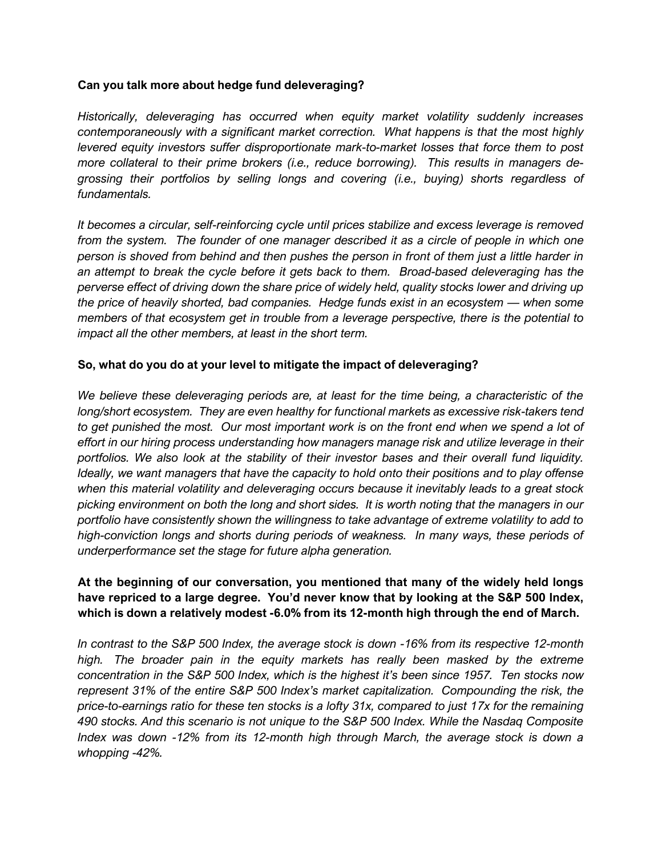#### **Can you talk more about hedge fund deleveraging?**

*Historically, deleveraging has occurred when equity market volatility suddenly increases contemporaneously with a significant market correction. What happens is that the most highly levered equity investors suffer disproportionate mark-to-market losses that force them to post more collateral to their prime brokers (i.e., reduce borrowing). This results in managers degrossing their portfolios by selling longs and covering (i.e., buying) shorts regardless of fundamentals.* 

*It becomes a circular, self-reinforcing cycle until prices stabilize and excess leverage is removed from the system. The founder of one manager described it as a circle of people in which one person is shoved from behind and then pushes the person in front of them just a little harder in an attempt to break the cycle before it gets back to them. Broad-based deleveraging has the perverse effect of driving down the share price of widely held, quality stocks lower and driving up the price of heavily shorted, bad companies. Hedge funds exist in an ecosystem — when some members of that ecosystem get in trouble from a leverage perspective, there is the potential to impact all the other members, at least in the short term.* 

### **So, what do you do at your level to mitigate the impact of deleveraging?**

*We believe these deleveraging periods are, at least for the time being, a characteristic of the long/short ecosystem. They are even healthy for functional markets as excessive risk-takers tend*  to get punished the most. Our most important work is on the front end when we spend a lot of *effort in our hiring process understanding how managers manage risk and utilize leverage in their portfolios. We also look at the stability of their investor bases and their overall fund liquidity. Ideally, we want managers that have the capacity to hold onto their positions and to play offense when this material volatility and deleveraging occurs because it inevitably leads to a great stock picking environment on both the long and short sides. It is worth noting that the managers in our portfolio have consistently shown the willingness to take advantage of extreme volatility to add to high-conviction longs and shorts during periods of weakness. In many ways, these periods of underperformance set the stage for future alpha generation.* 

### **At the beginning of our conversation, you mentioned that many of the widely held longs have repriced to a large degree. You'd never know that by looking at the S&P 500 Index, which is down a relatively modest -6.0% from its 12-month high through the end of March.**

*In contrast to the S&P 500 Index, the average stock is down -16% from its respective 12-month high. The broader pain in the equity markets has really been masked by the extreme concentration in the S&P 500 Index, which is the highest it's been since 1957. Ten stocks now represent 31% of the entire S&P 500 Index's market capitalization. Compounding the risk, the price-to-earnings ratio for these ten stocks is a lofty 31x, compared to just 17x for the remaining 490 stocks. And this scenario is not unique to the S&P 500 Index. While the Nasdaq Composite Index was down -12% from its 12-month high through March, the average stock is down a whopping -42%.*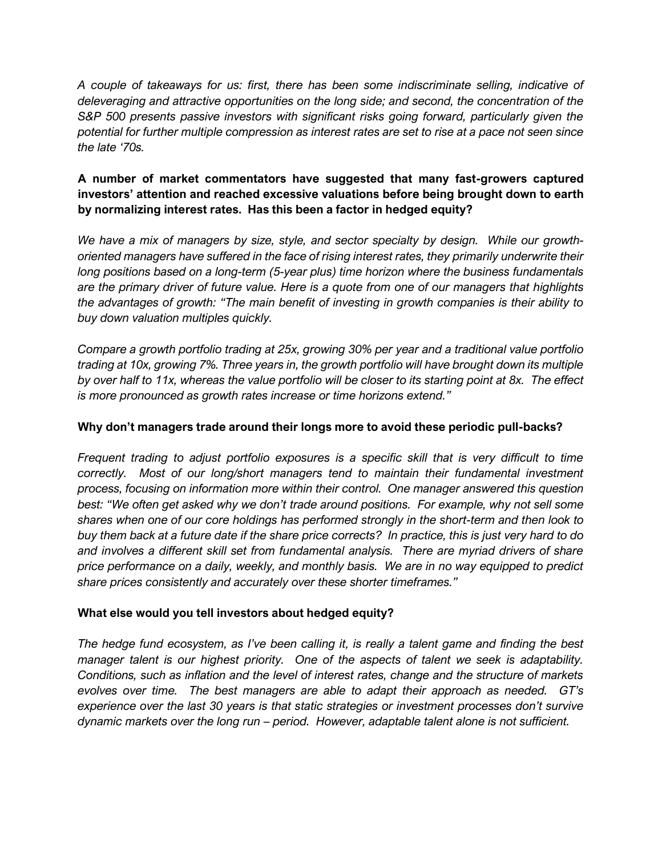*A couple of takeaways for us: first, there has been some indiscriminate selling, indicative of deleveraging and attractive opportunities on the long side; and second, the concentration of the S&P 500 presents passive investors with significant risks going forward, particularly given the potential for further multiple compression as interest rates are set to rise at a pace not seen since the late '70s.*

# **A number of market commentators have suggested that many fast-growers captured investors' attention and reached excessive valuations before being brought down to earth by normalizing interest rates. Has this been a factor in hedged equity?**

We have a mix of managers by size, style, and sector specialty by design. While our growth*oriented managers have suffered in the face of rising interest rates, they primarily underwrite their long positions based on a long-term (5-year plus) time horizon where the business fundamentals are the primary driver of future value. Here is a quote from one of our managers that highlights the advantages of growth: "The main benefit of investing in growth companies is their ability to buy down valuation multiples quickly.* 

*Compare a growth portfolio trading at 25x, growing 30% per year and a traditional value portfolio trading at 10x, growing 7%. Three years in, the growth portfolio will have brought down its multiple by over half to 11x, whereas the value portfolio will be closer to its starting point at 8x. The effect is more pronounced as growth rates increase or time horizons extend."*

# **Why don't managers trade around their longs more to avoid these periodic pull-backs?**

*Frequent trading to adjust portfolio exposures is a specific skill that is very difficult to time correctly. Most of our long/short managers tend to maintain their fundamental investment process, focusing on information more within their control. One manager answered this question best: "We often get asked why we don't trade around positions. For example, why not sell some shares when one of our core holdings has performed strongly in the short-term and then look to buy them back at a future date if the share price corrects? In practice, this is just very hard to do and involves a different skill set from fundamental analysis. There are myriad drivers of share price performance on a daily, weekly, and monthly basis. We are in no way equipped to predict share prices consistently and accurately over these shorter timeframes."*

# **What else would you tell investors about hedged equity?**

*The hedge fund ecosystem, as I've been calling it, is really a talent game and finding the best manager talent is our highest priority. One of the aspects of talent we seek is adaptability. Conditions, such as inflation and the level of interest rates, change and the structure of markets evolves over time. The best managers are able to adapt their approach as needed. GT's experience over the last 30 years is that static strategies or investment processes don't survive dynamic markets over the long run – period. However, adaptable talent alone is not sufficient.*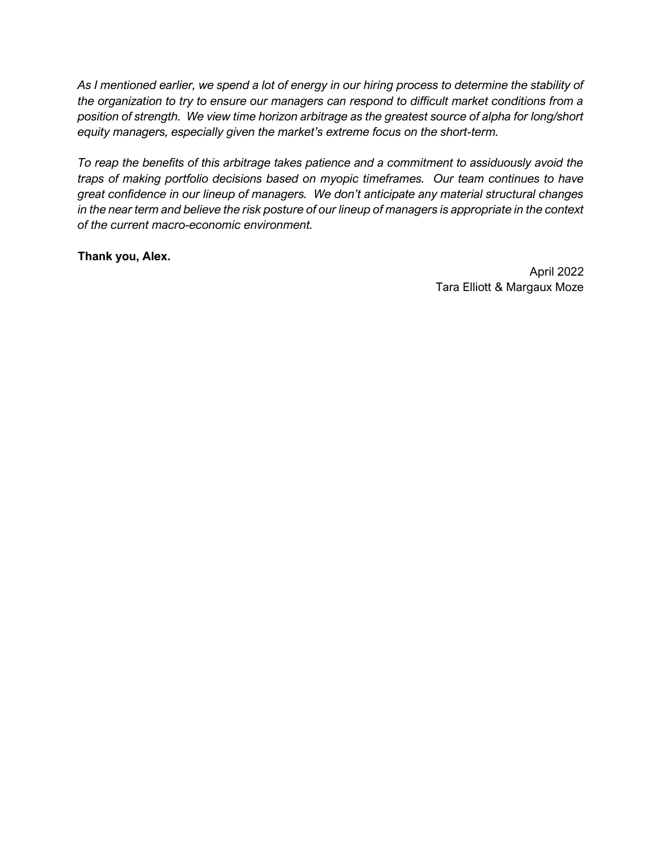*As I mentioned earlier, we spend a lot of energy in our hiring process to determine the stability of the organization to try to ensure our managers can respond to difficult market conditions from a position of strength. We view time horizon arbitrage as the greatest source of alpha for long/short equity managers, especially given the market's extreme focus on the short-term.* 

*To reap the benefits of this arbitrage takes patience and a commitment to assiduously avoid the traps of making portfolio decisions based on myopic timeframes. Our team continues to have great confidence in our lineup of managers. We don't anticipate any material structural changes in the near term and believe the risk posture of our lineup of managers is appropriate in the context of the current macro-economic environment.*

**Thank you, Alex.**

April 2022 Tara Elliott & Margaux Moze